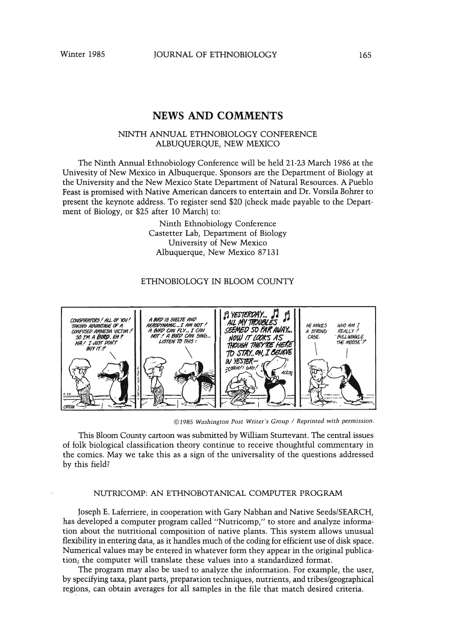# **NEWS AND COMMENTS**

### NINTH ANNUAL ETHNOBIOLOGY CONFERENCE ALBUQUERQUE, NEW MEXICO

The Ninth Annual Ethnobiology Conference will be held 21-23 March 1986 at the Univesity of New Mexico in Albuquerque. Sponsors are the Department of Biology at the University and the New Mexico State Department of Natural Resources. A Pueblo Feast is promised with Native American dancers to entertain and Dr. Vorsila Bohrer to present the keynote address. To register send \$20 (check made payable to the Department of Biology, or \$25 after 10 March) to:

> Ninth Ethnobiology Conference Castetter Lab. Department of Biology University of New Mexico Albuquerque, New Mexico 87131

### ETHNOBIOLOGY IN BLOOM COUNTY



©1985 Washington Post Writer's Group / Reprinted with permission.

This Bloom County cartoon was submitted by William Sturtevant. The central issues of folk biological classification theory continue to receive thoughtful commentary in the comics. May we take this as a sign of the universality of the questions addressed by this field?

#### NUTRICOMP: AN ETHNOBOTANICAL COMPUTER PROGRAM

Joseph E. Laferriere, in cooperation with Gary Nabhan and Native Seeds/SEARCH, has developed a computer program called "Nutricomp," to store and analyze information about the nutritional composition of native plants. This system allows unusual flexibility in entering data, as it handles much of the coding for efficient use of disk space. Numerical values may be entered in whatever form they appear in the original publication; the computer will translate these values into a standardized format.

The program may also be used to analyze the information. For example, the user, by specifying taxa, plant parts, preparation techniques, nutrients, and tribes/geographical regions, can obtain averages for all samples in the file that match desired criteria.